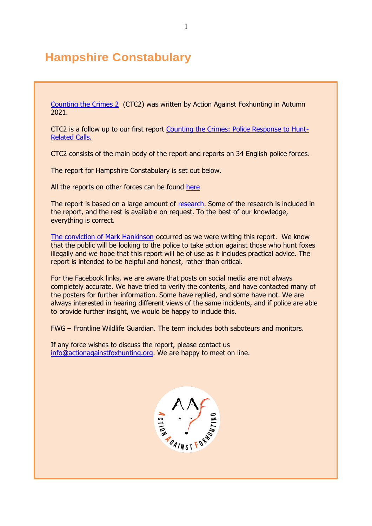# **Hampshire Constabulary**

[Counting the Crimes 2](https://www.actionagainstfoxhunting.org/counting-the-crimes2-the-police-response/) (CTC2) was written by Action Against Foxhunting in Autumn 2021.

CTC2 is a follow up to our first report [Counting the Crimes: Police Response to Hunt-](https://www.actionagainstfoxhunting.org/counting-the-crimes/)[Related Calls.](https://www.actionagainstfoxhunting.org/counting-the-crimes/)

CTC2 consists of the main body of the report and reports on 34 English police forces.

The report for Hampshire Constabulary is set out below.

All the reports on other forces can be found [here](https://www.actionagainstfoxhunting.org/counting-the-crimes2-the-police-response/)

The report is based on a large amount of [research.](https://www.actionagainstfoxhunting.org/wp-content/uploads/2021/11/A-1411-Research-for-CTC2.pdf) Some of the research is included in the report, and the rest is available on request. To the best of our knowledge, everything is correct.

[The conviction of Mark Hankinson](https://www.league.org.uk/news-and-resources/news/hunting-office-webinars-the-road-to-conviction/) occurred as we were writing this report. We know that the public will be looking to the police to take action against those who hunt foxes illegally and we hope that this report will be of use as it includes practical advice. The report is intended to be helpful and honest, rather than critical.

For the Facebook links, we are aware that posts on social media are not always completely accurate. We have tried to verify the contents, and have contacted many of the posters for further information. Some have replied, and some have not. We are always interested in hearing different views of the same incidents, and if police are able to provide further insight, we would be happy to include this.

FWG – Frontline Wildlife Guardian. The term includes both saboteurs and monitors.

If any force wishes to discuss the report, please contact us [info@actionagainstfoxhunting.org.](mailto:info@actionagainstfoxhunting.org) We are happy to meet on line.

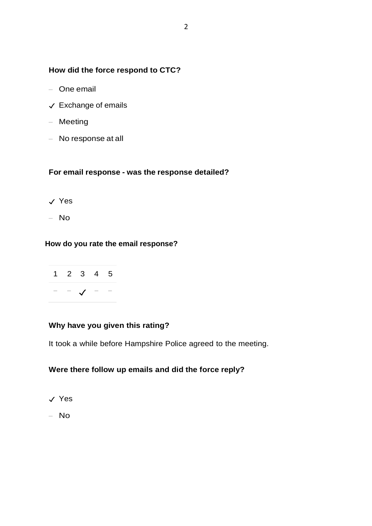#### **How did the force respond to CTC?**

- One email
- ✓ Exchange of emails
- Meeting
- No response at all

#### **For email response - was the response detailed?**

- ✓ Yes
- No

#### **How do you rate the email response?**



## **Why have you given this rating?**

It took a while before Hampshire Police agreed to the meeting.

### **Were there follow up emails and did the force reply?**

- ✓ Yes
- No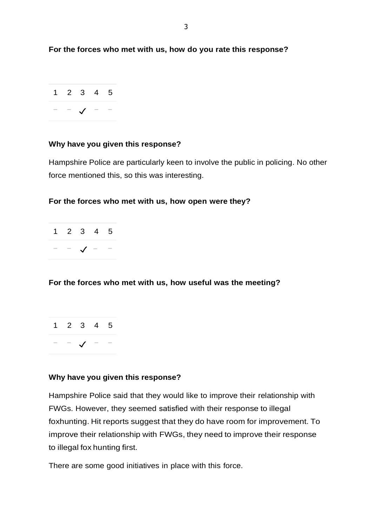**For the forces who met with us, how do you rate this response?**



#### **Why have you given this response?**

Hampshire Police are particularly keen to involve the public in policing. No other force mentioned this, so this was interesting.

#### **For the forces who met with us, how open were they?**

|  | 1 2 3 4 5  |  |
|--|------------|--|
|  | $\sqrt{ }$ |  |

#### **For the forces who met with us, how useful was the meeting?**



#### **Why have you given this response?**

Hampshire Police said that they would like to improve their relationship with FWGs. However, they seemed satisfied with their response to illegal foxhunting. Hit reports suggest that they do have room for improvement. To improve their relationship with FWGs, they need to improve their response to illegal fox hunting first.

There are some good initiatives in place with this force.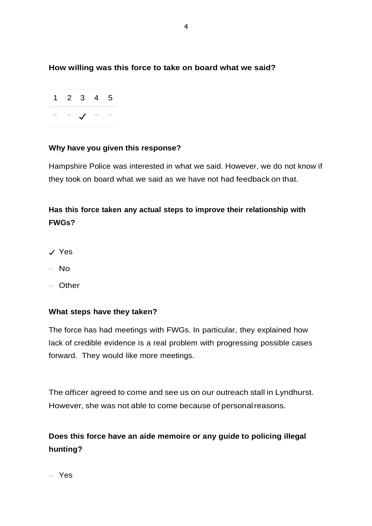### **How willing was this force to take on board what we said?**



#### **Why have you given this response?**

Hampshire Police was interested in what we said. However, we do not know if they took on board what we said as we have not had feedback on that.

## **Has this force taken any actual steps to improve their relationship with FWGs?**

- ✓ Yes
- No
- Other

#### **What steps have they taken?**

The force has had meetings with FWGs. In particular, they explained how lack of credible evidence is a real problem with progressing possible cases forward. They would like more meetings.

The officer agreed to come and see us on our outreach stall in Lyndhurst. However, she was not able to come because of personal reasons.

**Does this force have an aide memoire or any guide to policing illegal hunting?**

– Yes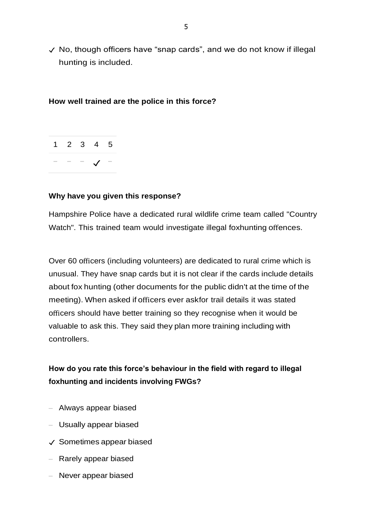✓ No, though officers have "snap cards", and we do not know if illegal hunting is included.

#### **How well trained are the police in this force?**



#### **Why have you given this response?**

Hampshire Police have a dedicated rural wildlife crime team called "Country Watch". This trained team would investigate illegal foxhunting offences.

Over 60 officers (including volunteers) are dedicated to rural crime which is unusual. They have snap cards but it is not clear if the cards include details about fox hunting (other documents for the public didn't at the time of the meeting). When asked if officers ever askfor trail details it was stated officers should have better training so they recognise when it would be valuable to ask this. They said they plan more training including with controllers.

## **How do you rate this force's behaviour in the field with regard to illegal foxhunting and incidents involving FWGs?**

- Always appear biased
- Usually appear biased
- ✓ Sometimes appear biased
- Rarely appear biased
- Never appear biased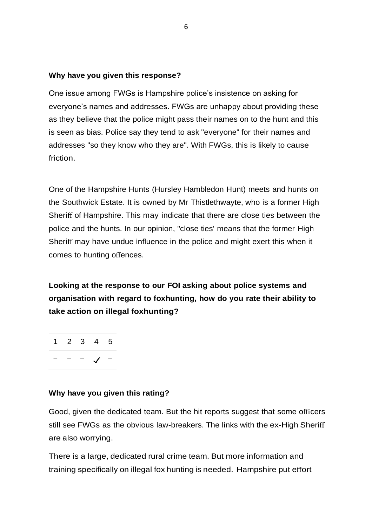#### **Why have you given this response?**

One issue among FWGs is Hampshire police's insistence on asking for everyone's names and addresses. FWGs are unhappy about providing these as they believe that the police might pass their names on to the hunt and this is seen as bias. Police say they tend to ask "everyone" for their names and addresses "so they know who they are". With FWGs, this is likely to cause friction.

One of the Hampshire Hunts (Hursley Hambledon Hunt) meets and hunts on the Southwick Estate. It is owned by Mr Thistlethwayte, who is a former High Sheriff of Hampshire. This may indicate that there are close ties between the police and the hunts. In our opinion, "close ties' means that the former High Sheriff may have undue influence in the police and might exert this when it comes to hunting offences.

**Looking at the response to our FOI asking about police systems and organisation with regard to foxhunting, how do you rate their ability to take action on illegal foxhunting?**

1 2 3 4 5 − − − ✓ −

#### **Why have you given this rating?**

Good, given the dedicated team. But the hit reports suggest that some officers still see FWGs as the obvious law-breakers. The links with the ex-High Sheriff are also worrying.

There is a large, dedicated rural crime team. But more information and training specifically on illegal fox hunting is needed. Hampshire put effort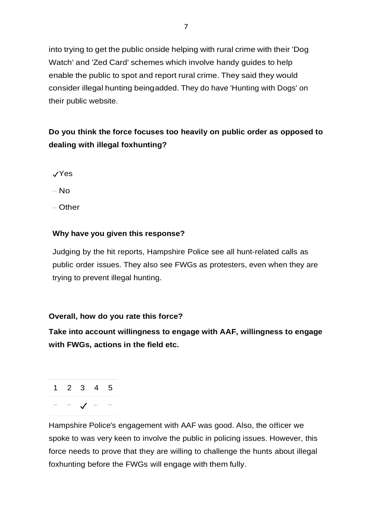into trying to get the public onside helping with rural crime with their 'Dog Watch' and 'Zed Card' schemes which involve handy guides to help enable the public to spot and report rural crime. They said they would consider illegal hunting beingadded. They do have 'Hunting with Dogs' on their public website.

## **Do you think the force focuses too heavily on public order as opposed to dealing with illegal foxhunting?**

- ✓Yes
- No
- Other

#### **Why have you given this response?**

Judging by the hit reports, Hampshire Police see all hunt-related calls as public order issues. They also see FWGs as protesters, even when they are trying to prevent illegal hunting.

#### **Overall, how do you rate this force?**

**Take into account willingness to engage with AAF, willingness to engage with FWGs, actions in the field etc.**

1 2 3 4 5 − − ✓ − −

Hampshire Police's engagement with AAF was good. Also, the officer we spoke to was very keen to involve the public in policing issues. However, this force needs to prove that they are willing to challenge the hunts about illegal foxhunting before the FWGs will engage with them fully.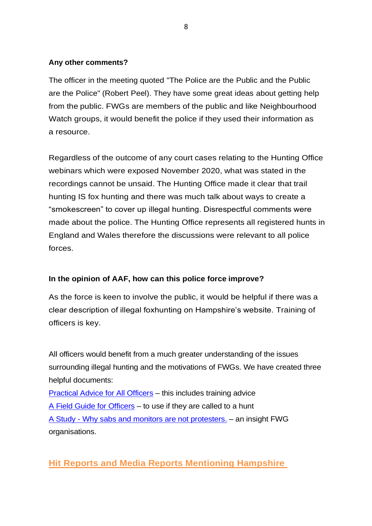#### **Any other comments?**

The officer in the meeting quoted "The Police are the Public and the Public are the Police" (Robert Peel). They have some great ideas about getting help from the public. FWGs are members of the public and like Neighbourhood Watch groups, it would benefit the police if they used their information as a resource.

Regardless of the outcome of any court cases relating to the Hunting Office webinars which were exposed November 2020, what was stated in the recordings cannot be unsaid. The Hunting Office made it clear that trail hunting IS fox hunting and there was much talk about ways to create a "smokescreen" to cover up illegal hunting. Disrespectful comments were made about the police. The Hunting Office represents all registered hunts in England and Wales therefore the discussions were relevant to all police forces.

#### **In the opinion of AAF, how can this police force improve?**

As the force is keen to involve the public, it would be helpful if there was a clear description of illegal foxhunting on Hampshire's website. Training of officers is key.

All officers would benefit from a much greater understanding of the issues surrounding illegal hunting and the motivations of FWGs. We have created three helpful documents:

[Practical Advice for All Officers](https://www.actionagainstfoxhunting.org/wp-content/uploads/2021/11/B-1411-Practical-Advice-for-all-Police-Forces.pdf) – this includes training advice [A Field Guide for Officers](https://www.actionagainstfoxhunting.org/wp-content/uploads/2021/11/A-1411-FIELD-GUIDE-ILLEGAL-FOXHUNTING.pdf) – to use if they are called to a hunt A Study - [Why sabs and monitors are not protesters.](https://www.actionagainstfoxhunting.org/wp-content/uploads/2021/11/A-1411-Why-sabs-and-monitors-arent-protesters.pdf) – an insight FWG organisations.

## **Hit Reports and Media Reports Mentioning Hampshire**